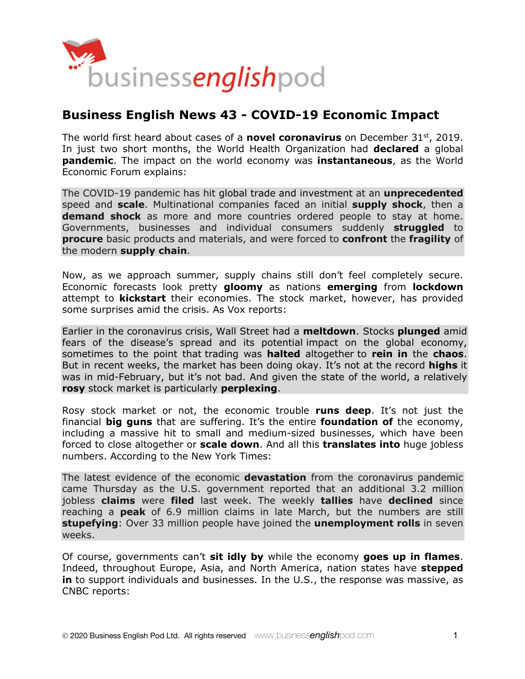

# **Business English News 43 - COVID-19 Economic Impact**

The world first heard about cases of a **novel coronavirus** on December 31st, 2019. In just two short months, the World Health Organization had **declared** a global **pandemic**. The impact on the world economy was **instantaneous**, as the World Economic Forum explains:

The COVID-19 pandemic has hit global trade and investment at an **unprecedented** speed and **scale**. Multinational companies faced an initial **supply shock**, then a **demand shock** as more and more countries ordered people to stay at home. Governments, businesses and individual consumers suddenly **struggled** to **procure** basic products and materials, and were forced to **confront** the **fragility** of the modern **supply chain**.

Now, as we approach summer, supply chains still don't feel completely secure. Economic forecasts look pretty **gloomy** as nations **emerging** from **lockdown** attempt to **kickstart** their economies. The stock market, however, has provided some surprises amid the crisis. As Vox reports:

Earlier in the coronavirus crisis, Wall Street had a **meltdown**. Stocks **plunged** amid fears of the disease's spread and its potential impact on the global economy, sometimes to the point that trading was **halted** altogether to **rein in** the **chaos**. But in recent weeks, the market has been doing okay. It's not at the record **highs** it was in mid-February, but it's not bad. And given the state of the world, a relatively **rosy** stock market is particularly **perplexing**.

Rosy stock market or not, the economic trouble **runs deep**. It's not just the financial **big guns** that are suffering. It's the entire **foundation of** the economy, including a massive hit to small and medium-sized businesses, which have been forced to close altogether or **scale down**. And all this **translates into** huge jobless numbers. According to the New York Times:

The latest evidence of the economic **devastation** from the coronavirus pandemic came Thursday as the U.S. government reported that an additional 3.2 million jobless **claims** were **filed** last week. The weekly **tallies** have **declined** since reaching a **peak** of 6.9 million claims in late March, but the numbers are still **stupefying**: Over 33 million people have joined the **unemployment rolls** in seven weeks.

Of course, governments can't **sit idly by** while the economy **goes up in flames**. Indeed, throughout Europe, Asia, and North America, nation states have **stepped**  in to support individuals and businesses. In the U.S., the response was massive, as CNBC reports: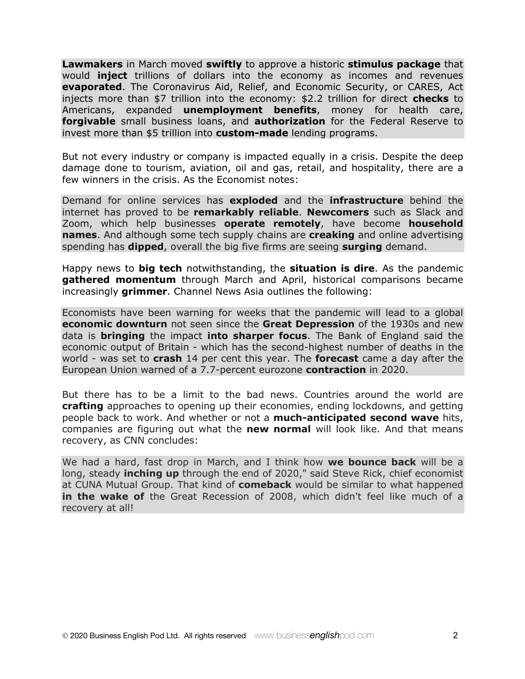**Lawmakers** in March moved **swiftly** to approve a historic **stimulus package** that would **inject** trillions of dollars into the economy as incomes and revenues **evaporated**. The Coronavirus Aid, Relief, and Economic Security, or CARES, Act injects more than \$7 trillion into the economy: \$2.2 trillion for direct **checks** to Americans, expanded **unemployment benefits**, money for health care, **forgivable** small business loans, and **authorization** for the Federal Reserve to invest more than \$5 trillion into **custom-made** lending programs.

But not every industry or company is impacted equally in a crisis. Despite the deep damage done to tourism, aviation, oil and gas, retail, and hospitality, there are a few winners in the crisis. As the Economist notes:

Demand for online services has **exploded** and the **infrastructure** behind the internet has proved to be **remarkably reliable**. **Newcomers** such as Slack and Zoom, which help businesses **operate remotely**, have become **household names**. And although some tech supply chains are **creaking** and online advertising spending has **dipped**, overall the big five firms are seeing **surging** demand.

Happy news to **big tech** notwithstanding, the **situation is dire**. As the pandemic **gathered momentum** through March and April, historical comparisons became increasingly **grimmer**. Channel News Asia outlines the following:

Economists have been warning for weeks that the pandemic will lead to a global **economic downturn** not seen since the **Great Depression** of the 1930s and new data is **bringing** the impact **into sharper focus**. The Bank of England said the economic output of Britain - which has the second-highest number of deaths in the world - was set to **crash** 14 per cent this year. The **forecast** came a day after the European Union warned of a 7.7-percent eurozone **contraction** in 2020.

But there has to be a limit to the bad news. Countries around the world are **crafting** approaches to opening up their economies, ending lockdowns, and getting people back to work. And whether or not a **much-anticipated second wave** hits, companies are figuring out what the **new normal** will look like. And that means recovery, as CNN concludes:

We had a hard, fast drop in March, and I think how **we bounce back** will be a long, steady **inching up** through the end of 2020," said Steve Rick, chief economist at CUNA Mutual Group. That kind of **comeback** would be similar to what happened **in the wake of** the Great Recession of 2008, which didn't feel like much of a recovery at all!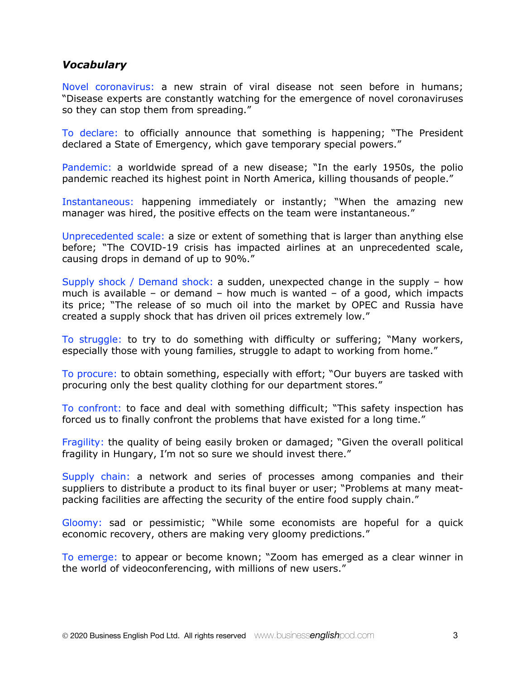#### *Vocabulary*

Novel coronavirus: a new strain of viral disease not seen before in humans; "Disease experts are constantly watching for the emergence of novel coronaviruses so they can stop them from spreading."

To declare: to officially announce that something is happening; "The President declared a State of Emergency, which gave temporary special powers."

Pandemic: a worldwide spread of a new disease; "In the early 1950s, the polio pandemic reached its highest point in North America, killing thousands of people."

Instantaneous: happening immediately or instantly; "When the amazing new manager was hired, the positive effects on the team were instantaneous."

Unprecedented scale: a size or extent of something that is larger than anything else before; "The COVID-19 crisis has impacted airlines at an unprecedented scale, causing drops in demand of up to 90%."

Supply shock / Demand shock: a sudden, unexpected change in the supply – how much is available – or demand – how much is wanted – of a good, which impacts its price; "The release of so much oil into the market by OPEC and Russia have created a supply shock that has driven oil prices extremely low."

To struggle: to try to do something with difficulty or suffering; "Many workers, especially those with young families, struggle to adapt to working from home."

To procure: to obtain something, especially with effort; "Our buyers are tasked with procuring only the best quality clothing for our department stores."

To confront: to face and deal with something difficult; "This safety inspection has forced us to finally confront the problems that have existed for a long time."

Fragility: the quality of being easily broken or damaged; "Given the overall political fragility in Hungary, I'm not so sure we should invest there."

Supply chain: a network and series of processes among companies and their suppliers to distribute a product to its final buyer or user; "Problems at many meatpacking facilities are affecting the security of the entire food supply chain."

Gloomy: sad or pessimistic; "While some economists are hopeful for a quick economic recovery, others are making very gloomy predictions."

To emerge: to appear or become known; "Zoom has emerged as a clear winner in the world of videoconferencing, with millions of new users."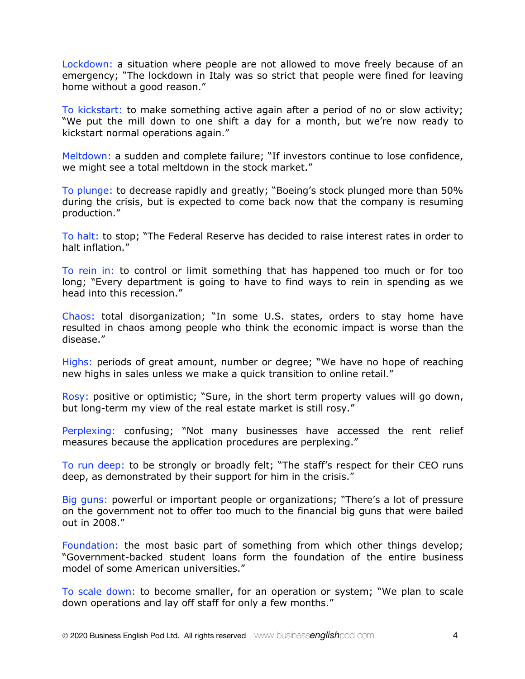Lockdown: a situation where people are not allowed to move freely because of an emergency; "The lockdown in Italy was so strict that people were fined for leaving home without a good reason."

To kickstart: to make something active again after a period of no or slow activity; "We put the mill down to one shift a day for a month, but we're now ready to kickstart normal operations again."

Meltdown: a sudden and complete failure; "If investors continue to lose confidence, we might see a total meltdown in the stock market."

To plunge: to decrease rapidly and greatly; "Boeing's stock plunged more than 50% during the crisis, but is expected to come back now that the company is resuming production."

To halt: to stop; "The Federal Reserve has decided to raise interest rates in order to halt inflation."

To rein in: to control or limit something that has happened too much or for too long; "Every department is going to have to find ways to rein in spending as we head into this recession."

Chaos: total disorganization; "In some U.S. states, orders to stay home have resulted in chaos among people who think the economic impact is worse than the disease."

Highs: periods of great amount, number or degree; "We have no hope of reaching new highs in sales unless we make a quick transition to online retail."

Rosy: positive or optimistic; "Sure, in the short term property values will go down, but long-term my view of the real estate market is still rosy."

Perplexing: confusing; "Not many businesses have accessed the rent relief measures because the application procedures are perplexing."

To run deep: to be strongly or broadly felt; "The staff's respect for their CEO runs deep, as demonstrated by their support for him in the crisis."

Big guns: powerful or important people or organizations; "There's a lot of pressure on the government not to offer too much to the financial big guns that were bailed out in 2008."

Foundation: the most basic part of something from which other things develop; "Government-backed student loans form the foundation of the entire business model of some American universities."

To scale down: to become smaller, for an operation or system; "We plan to scale down operations and lay off staff for only a few months."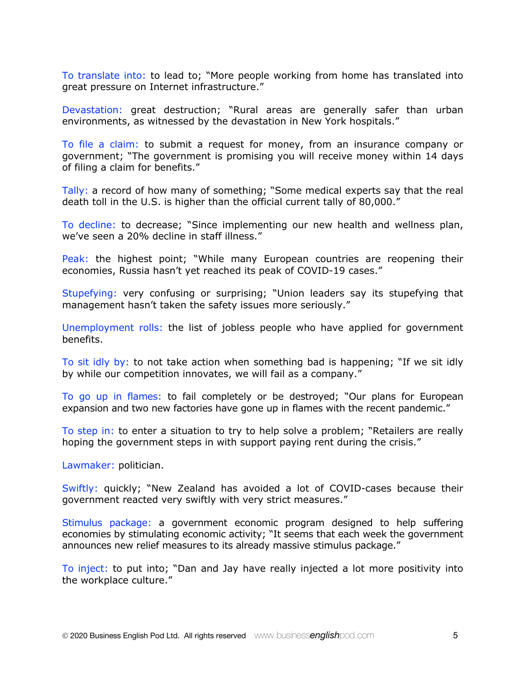To translate into: to lead to; "More people working from home has translated into great pressure on Internet infrastructure."

Devastation: great destruction; "Rural areas are generally safer than urban environments, as witnessed by the devastation in New York hospitals."

To file a claim: to submit a request for money, from an insurance company or government; "The government is promising you will receive money within 14 days of filing a claim for benefits."

Tally: a record of how many of something; "Some medical experts say that the real death toll in the U.S. is higher than the official current tally of 80,000."

To decline: to decrease; "Since implementing our new health and wellness plan, we've seen a 20% decline in staff illness."

Peak: the highest point; "While many European countries are reopening their economies, Russia hasn't yet reached its peak of COVID-19 cases."

Stupefying: very confusing or surprising; "Union leaders say its stupefying that management hasn't taken the safety issues more seriously."

Unemployment rolls: the list of jobless people who have applied for government benefits.

To sit idly by: to not take action when something bad is happening; "If we sit idly by while our competition innovates, we will fail as a company."

To go up in flames: to fail completely or be destroyed; "Our plans for European expansion and two new factories have gone up in flames with the recent pandemic."

To step in: to enter a situation to try to help solve a problem; "Retailers are really hoping the government steps in with support paying rent during the crisis."

Lawmaker: politician.

Swiftly: quickly; "New Zealand has avoided a lot of COVID-cases because their government reacted very swiftly with very strict measures."

Stimulus package: a government economic program designed to help suffering economies by stimulating economic activity; "It seems that each week the government announces new relief measures to its already massive stimulus package."

To inject: to put into; "Dan and Jay have really injected a lot more positivity into the workplace culture."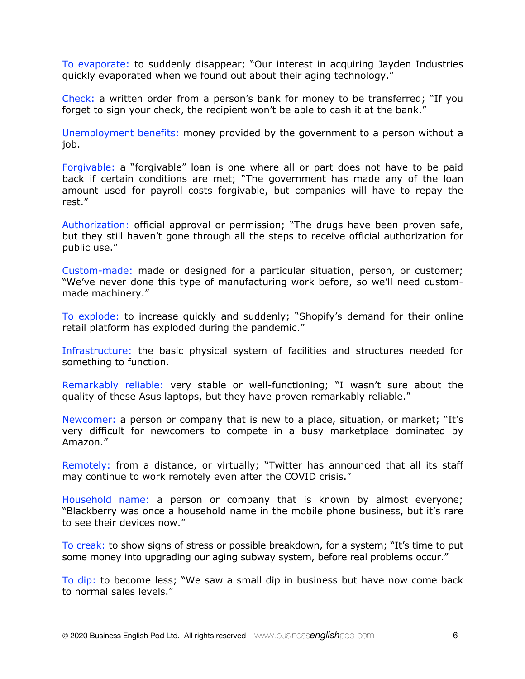To evaporate: to suddenly disappear; "Our interest in acquiring Jayden Industries quickly evaporated when we found out about their aging technology."

Check: a written order from a person's bank for money to be transferred; "If you forget to sign your check, the recipient won't be able to cash it at the bank."

Unemployment benefits: money provided by the government to a person without a job.

Forgivable: a "forgivable" loan is one where all or part does not have to be paid back if certain conditions are met; "The government has made any of the loan amount used for payroll costs forgivable, but companies will have to repay the rest."

Authorization: official approval or permission; "The drugs have been proven safe, but they still haven't gone through all the steps to receive official authorization for public use."

Custom-made: made or designed for a particular situation, person, or customer; "We've never done this type of manufacturing work before, so we'll need custommade machinery."

To explode: to increase quickly and suddenly; "Shopify's demand for their online retail platform has exploded during the pandemic."

Infrastructure: the basic physical system of facilities and structures needed for something to function.

Remarkably reliable: very stable or well-functioning; "I wasn't sure about the quality of these Asus laptops, but they have proven remarkably reliable."

Newcomer: a person or company that is new to a place, situation, or market; "It's very difficult for newcomers to compete in a busy marketplace dominated by Amazon."

Remotely: from a distance, or virtually; "Twitter has announced that all its staff may continue to work remotely even after the COVID crisis."

Household name: a person or company that is known by almost everyone; "Blackberry was once a household name in the mobile phone business, but it's rare to see their devices now."

To creak: to show signs of stress or possible breakdown, for a system; "It's time to put some money into upgrading our aging subway system, before real problems occur."

To dip: to become less; "We saw a small dip in business but have now come back to normal sales levels."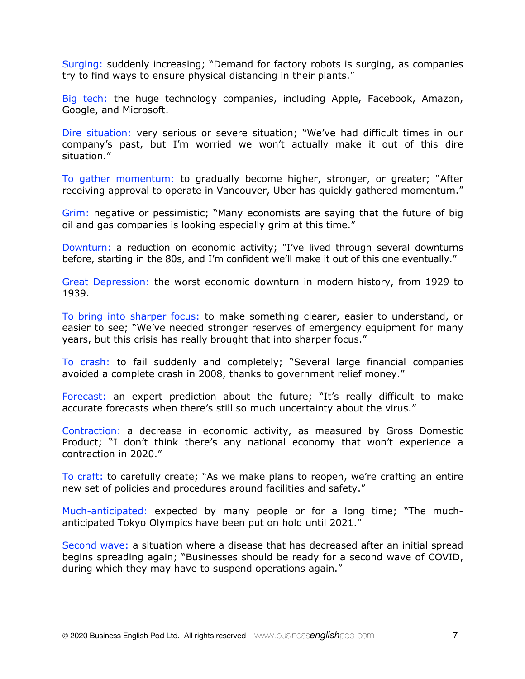Surging: suddenly increasing; "Demand for factory robots is surging, as companies try to find ways to ensure physical distancing in their plants."

Big tech: the huge technology companies, including Apple, Facebook, Amazon, Google, and Microsoft.

Dire situation: very serious or severe situation; "We've had difficult times in our company's past, but I'm worried we won't actually make it out of this dire situation."

To gather momentum: to gradually become higher, stronger, or greater; "After receiving approval to operate in Vancouver, Uber has quickly gathered momentum."

Grim: negative or pessimistic; "Many economists are saying that the future of big oil and gas companies is looking especially grim at this time."

Downturn: a reduction on economic activity; "I've lived through several downturns before, starting in the 80s, and I'm confident we'll make it out of this one eventually."

Great Depression: the worst economic downturn in modern history, from 1929 to 1939.

To bring into sharper focus: to make something clearer, easier to understand, or easier to see; "We've needed stronger reserves of emergency equipment for many years, but this crisis has really brought that into sharper focus."

To crash: to fail suddenly and completely; "Several large financial companies avoided a complete crash in 2008, thanks to government relief money."

Forecast: an expert prediction about the future; "It's really difficult to make accurate forecasts when there's still so much uncertainty about the virus."

Contraction: a decrease in economic activity, as measured by Gross Domestic Product; "I don't think there's any national economy that won't experience a contraction in 2020."

To craft: to carefully create; "As we make plans to reopen, we're crafting an entire new set of policies and procedures around facilities and safety."

Much-anticipated: expected by many people or for a long time; "The muchanticipated Tokyo Olympics have been put on hold until 2021."

Second wave: a situation where a disease that has decreased after an initial spread begins spreading again; "Businesses should be ready for a second wave of COVID, during which they may have to suspend operations again."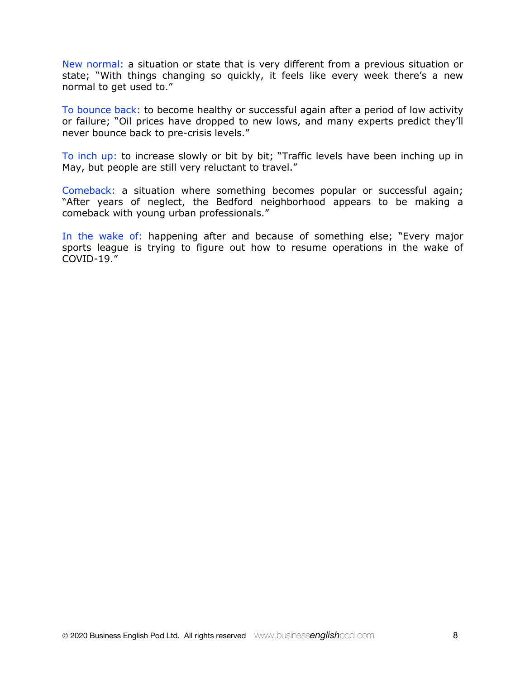New normal: a situation or state that is very different from a previous situation or state; "With things changing so quickly, it feels like every week there's a new normal to get used to."

To bounce back: to become healthy or successful again after a period of low activity or failure; "Oil prices have dropped to new lows, and many experts predict they'll never bounce back to pre-crisis levels."

To inch up: to increase slowly or bit by bit; "Traffic levels have been inching up in May, but people are still very reluctant to travel."

Comeback: a situation where something becomes popular or successful again; "After years of neglect, the Bedford neighborhood appears to be making a comeback with young urban professionals."

In the wake of: happening after and because of something else; "Every major sports league is trying to figure out how to resume operations in the wake of COVID-19."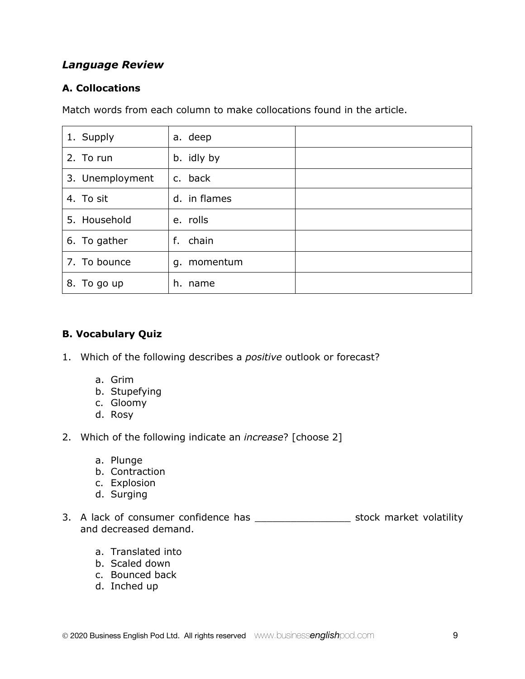# *Language Review*

### **A. Collocations**

Match words from each column to make collocations found in the article.

| 1. Supply       | a. deep      |  |
|-----------------|--------------|--|
| 2. To run       | b. idly by   |  |
| 3. Unemployment | c. back      |  |
| 4. To sit       | d. in flames |  |
| 5. Household    | e. rolls     |  |
| 6. To gather    | chain<br>f.  |  |
| 7. To bounce    | g. momentum  |  |
| 8. To go up     | h. name      |  |

#### **B. Vocabulary Quiz**

- 1. Which of the following describes a *positive* outlook or forecast?
	- a. Grim
	- b. Stupefying
	- c. Gloomy
	- d. Rosy
- 2. Which of the following indicate an *increase*? [choose 2]
	- a. Plunge
	- b. Contraction
	- c. Explosion
	- d. Surging
- 3. A lack of consumer confidence has \_\_\_\_\_\_\_\_\_\_\_\_\_\_\_\_\_\_\_\_\_ stock market volatility and decreased demand.
	- a. Translated into
	- b. Scaled down
	- c. Bounced back
	- d. Inched up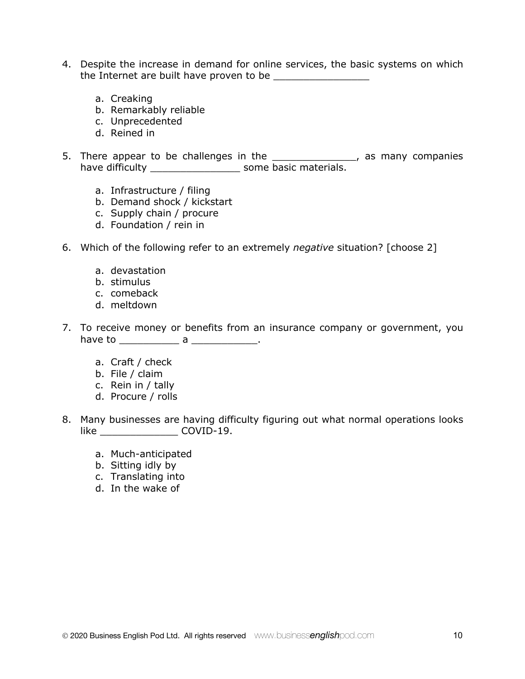- 4. Despite the increase in demand for online services, the basic systems on which the Internet are built have proven to be
	- a. Creaking
	- b. Remarkably reliable
	- c. Unprecedented
	- d. Reined in
- 5. There appear to be challenges in the \_\_\_\_\_\_\_\_\_\_\_\_\_\_\_, as many companies have difficulty \_\_\_\_\_\_\_\_\_\_\_\_\_\_\_\_\_\_\_\_\_\_ some basic materials.
	- a. Infrastructure / filing
	- b. Demand shock / kickstart
	- c. Supply chain / procure
	- d. Foundation / rein in
- 6. Which of the following refer to an extremely *negative* situation? [choose 2]
	- a. devastation
	- b. stimulus
	- c. comeback
	- d. meltdown
- 7. To receive money or benefits from an insurance company or government, you have to \_\_\_\_\_\_\_\_\_\_\_\_\_\_\_ a \_\_\_\_\_\_\_\_\_\_\_\_\_\_.
	- a. Craft / check
	- b. File / claim
	- c. Rein in / tally
	- d. Procure / rolls
- 8. Many businesses are having difficulty figuring out what normal operations looks like COVID-19.
	- a. Much-anticipated
	- b. Sitting idly by
	- c. Translating into
	- d. In the wake of